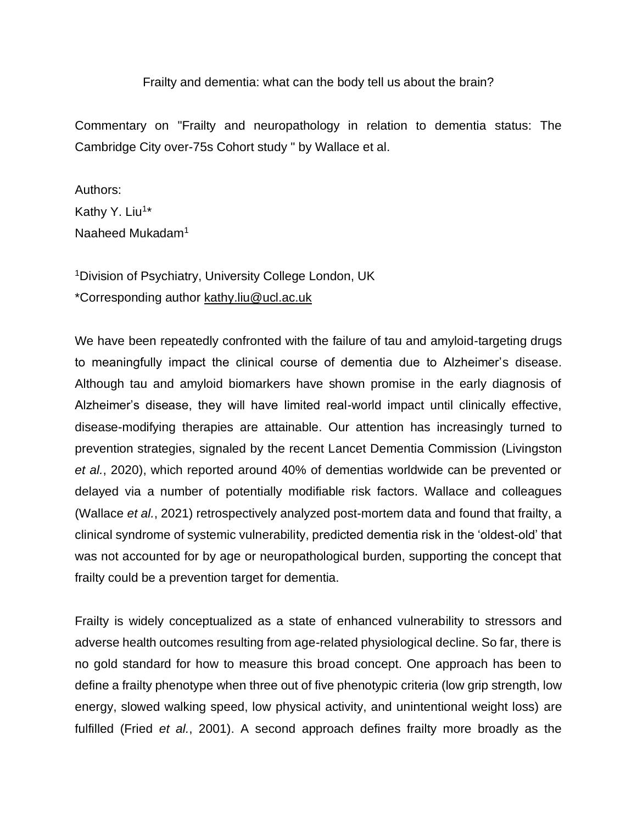## Frailty and dementia: what can the body tell us about the brain?

Commentary on "Frailty and neuropathology in relation to dementia status: The Cambridge City over-75s Cohort study " by Wallace et al.

Authors: Kathy Y. Liu<sup>1\*</sup> Naaheed Mukadam<sup>1</sup>

<sup>1</sup>Division of Psychiatry, University College London, UK \*Corresponding author kathy.liu@ucl.ac.uk

We have been repeatedly confronted with the failure of tau and amyloid-targeting drugs to meaningfully impact the clinical course of dementia due to Alzheimer's disease. Although tau and amyloid biomarkers have shown promise in the early diagnosis of Alzheimer's disease, they will have limited real-world impact until clinically effective, disease-modifying therapies are attainable. Our attention has increasingly turned to prevention strategies, signaled by the recent Lancet Dementia Commission [\(Livingston](https://paperpile.com/c/P6yCr7/bPnd)  *[et al.](https://paperpile.com/c/P6yCr7/bPnd)*[, 2020\),](https://paperpile.com/c/P6yCr7/bPnd) which reported around 40% of dementias worldwide can be prevented or delayed via a number of potentially modifiable risk factors. Wallace and colleagues [\(Wallace](https://paperpile.com/c/P6yCr7/R6mT) *[et al.](https://paperpile.com/c/P6yCr7/R6mT)*[, 2021\)](https://paperpile.com/c/P6yCr7/R6mT) retrospectively analyzed post-mortem data and found that frailty, a clinical syndrome of systemic vulnerability, predicted dementia risk in the 'oldest-old' that was not accounted for by age or neuropathological burden, supporting the concept that frailty could be a prevention target for dementia.

Frailty is widely conceptualized as a state of enhanced vulnerability to stressors and adverse health outcomes resulting from age-related physiological decline. So far, there is no gold standard for how to measure this broad concept. One approach has been to define a frailty phenotype when three out of five phenotypic criteria (low grip strength, low energy, slowed walking speed, low physical activity, and unintentional weight loss) are fulfilled [\(Fried](https://paperpile.com/c/P6yCr7/5hmD) *[et al.](https://paperpile.com/c/P6yCr7/5hmD)*[, 2001\).](https://paperpile.com/c/P6yCr7/5hmD) A second approach defines frailty more broadly as the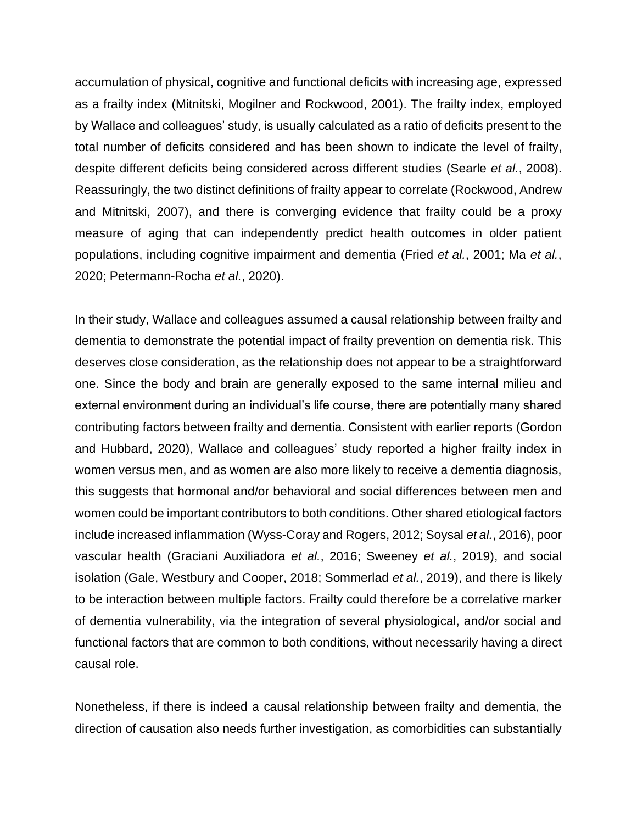accumulation of physical, cognitive and functional deficits with increasing age, expressed as a frailty index [\(Mitnitski, Mogilner and Rockwood, 2001\).](https://paperpile.com/c/P6yCr7/5eRI) The frailty index, employed by Wallace and colleagues' study, is usually calculated as a ratio of deficits present to the total number of deficits considered and has been shown to indicate the level of frailty, despite different deficits being considered across different studies [\(Searle](https://paperpile.com/c/P6yCr7/yWuP) *[et al.](https://paperpile.com/c/P6yCr7/yWuP)*[, 2008\).](https://paperpile.com/c/P6yCr7/yWuP) Reassuringly, the two distinct definitions of frailty appear to correlate [\(Rockwood, Andrew](https://paperpile.com/c/P6yCr7/2PGV)  [and Mitnitski, 2007\),](https://paperpile.com/c/P6yCr7/2PGV) and there is converging evidence that frailty could be a proxy measure of aging that can independently predict health outcomes in older patient populations, including cognitive impairment and dementia [\(Fried](https://paperpile.com/c/P6yCr7/5hmD+zNoY+Pdhk) *[et al.](https://paperpile.com/c/P6yCr7/5hmD+zNoY+Pdhk)*[, 2001; Ma](https://paperpile.com/c/P6yCr7/5hmD+zNoY+Pdhk) *[et al.](https://paperpile.com/c/P6yCr7/5hmD+zNoY+Pdhk)*[,](https://paperpile.com/c/P6yCr7/5hmD+zNoY+Pdhk)  [2020; Petermann-Rocha](https://paperpile.com/c/P6yCr7/5hmD+zNoY+Pdhk) *[et al.](https://paperpile.com/c/P6yCr7/5hmD+zNoY+Pdhk)*[, 2020\).](https://paperpile.com/c/P6yCr7/5hmD+zNoY+Pdhk)

In their study, Wallace and colleagues assumed a causal relationship between frailty and dementia to demonstrate the potential impact of frailty prevention on dementia risk. This deserves close consideration, as the relationship does not appear to be a straightforward one. Since the body and brain are generally exposed to the same internal milieu and external environment during an individual's life course, there are potentially many shared contributing factors between frailty and dementia. Consistent with earlier reports [\(Gordon](https://paperpile.com/c/P6yCr7/Efvl)  [and Hubbard, 2020\),](https://paperpile.com/c/P6yCr7/Efvl) Wallace and colleagues' study reported a higher frailty index in women versus men, and as women are also more likely to receive a dementia diagnosis, this suggests that hormonal and/or behavioral and social differences between men and women could be important contributors to both conditions. Other shared etiological factors include increased inflammation [\(Wyss-Coray and Rogers, 2012; Soysal](https://paperpile.com/c/P6yCr7/1U7F+4LeL) *[et al.](https://paperpile.com/c/P6yCr7/1U7F+4LeL)*[, 2016\),](https://paperpile.com/c/P6yCr7/1U7F+4LeL) poor vascular health [\(Graciani Auxiliadora](https://paperpile.com/c/P6yCr7/lUFh+3C7O) *[et al.](https://paperpile.com/c/P6yCr7/lUFh+3C7O)*[, 2016; Sweeney](https://paperpile.com/c/P6yCr7/lUFh+3C7O) *[et al.](https://paperpile.com/c/P6yCr7/lUFh+3C7O)*[, 2019\),](https://paperpile.com/c/P6yCr7/lUFh+3C7O) and social isolation [\(Gale, Westbury and Cooper, 2018; Sommerlad](https://paperpile.com/c/P6yCr7/t2Q9+Zwng) *[et al.](https://paperpile.com/c/P6yCr7/t2Q9+Zwng)*[, 2019\),](https://paperpile.com/c/P6yCr7/t2Q9+Zwng) and there is likely to be interaction between multiple factors. Frailty could therefore be a correlative marker of dementia vulnerability, via the integration of several physiological, and/or social and functional factors that are common to both conditions, without necessarily having a direct causal role.

Nonetheless, if there is indeed a causal relationship between frailty and dementia, the direction of causation also needs further investigation, as comorbidities can substantially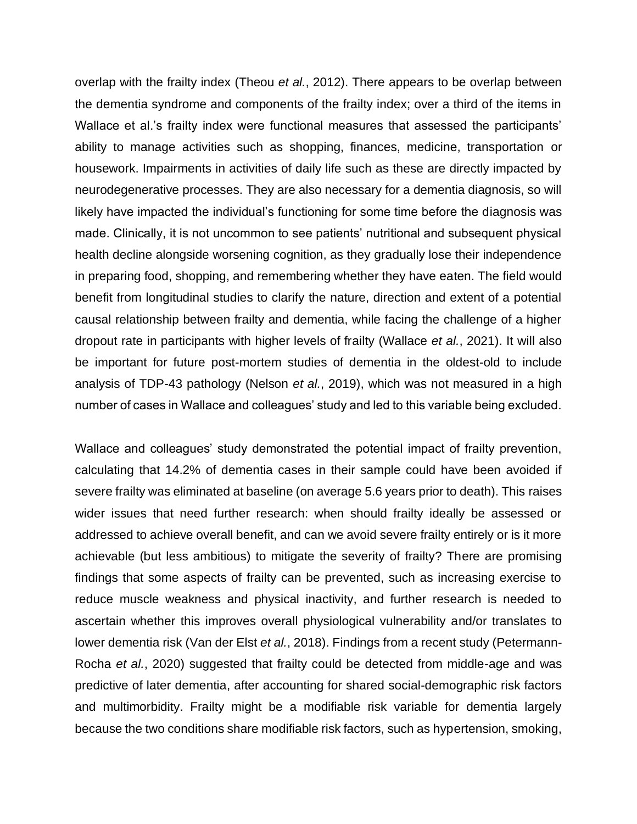overlap with the frailty index [\(Theou](https://paperpile.com/c/P6yCr7/JzIn) *[et al.](https://paperpile.com/c/P6yCr7/JzIn)*[, 2012\).](https://paperpile.com/c/P6yCr7/JzIn) There appears to be overlap between the dementia syndrome and components of the frailty index; over a third of the items in Wallace et al.'s frailty index were functional measures that assessed the participants' ability to manage activities such as shopping, finances, medicine, transportation or housework. Impairments in activities of daily life such as these are directly impacted by neurodegenerative processes. They are also necessary for a dementia diagnosis, so will likely have impacted the individual's functioning for some time before the diagnosis was made. Clinically, it is not uncommon to see patients' nutritional and subsequent physical health decline alongside worsening cognition, as they gradually lose their independence in preparing food, shopping, and remembering whether they have eaten. The field would benefit from longitudinal studies to clarify the nature, direction and extent of a potential causal relationship between frailty and dementia, while facing the challenge of a higher dropout rate in participants with higher levels of frailty [\(Wallace](https://paperpile.com/c/P6yCr7/R6mT) *[et al.](https://paperpile.com/c/P6yCr7/R6mT)*[, 2021\).](https://paperpile.com/c/P6yCr7/R6mT) It will also be important for future post-mortem studies of dementia in the oldest-old to include analysis of TDP-43 pathology [\(Nelson](https://paperpile.com/c/P6yCr7/Yz99) *[et al.](https://paperpile.com/c/P6yCr7/Yz99)*[, 2019\),](https://paperpile.com/c/P6yCr7/Yz99) which was not measured in a high number of cases in Wallace and colleagues' study and led to this variable being excluded.

Wallace and colleagues' study demonstrated the potential impact of frailty prevention, calculating that 14.2% of dementia cases in their sample could have been avoided if severe frailty was eliminated at baseline (on average 5.6 years prior to death). This raises wider issues that need further research: when should frailty ideally be assessed or addressed to achieve overall benefit, and can we avoid severe frailty entirely or is it more achievable (but less ambitious) to mitigate the severity of frailty? There are promising findings that some aspects of frailty can be prevented, such as increasing exercise to reduce muscle weakness and physical inactivity, and further research is needed to ascertain whether this improves overall physiological vulnerability and/or translates to lower dementia risk [\(Van der Elst](https://paperpile.com/c/P6yCr7/XVfz) *[et al.](https://paperpile.com/c/P6yCr7/XVfz)*[, 2018\).](https://paperpile.com/c/P6yCr7/XVfz) Findings from a recent study [\(Petermann-](https://paperpile.com/c/P6yCr7/Pdhk)[Rocha](https://paperpile.com/c/P6yCr7/Pdhk) *[et al.](https://paperpile.com/c/P6yCr7/Pdhk)*[, 2020\)](https://paperpile.com/c/P6yCr7/Pdhk) suggested that frailty could be detected from middle-age and was predictive of later dementia, after accounting for shared social-demographic risk factors and multimorbidity. Frailty might be a modifiable risk variable for dementia largely because the two conditions share modifiable risk factors, such as hypertension, smoking,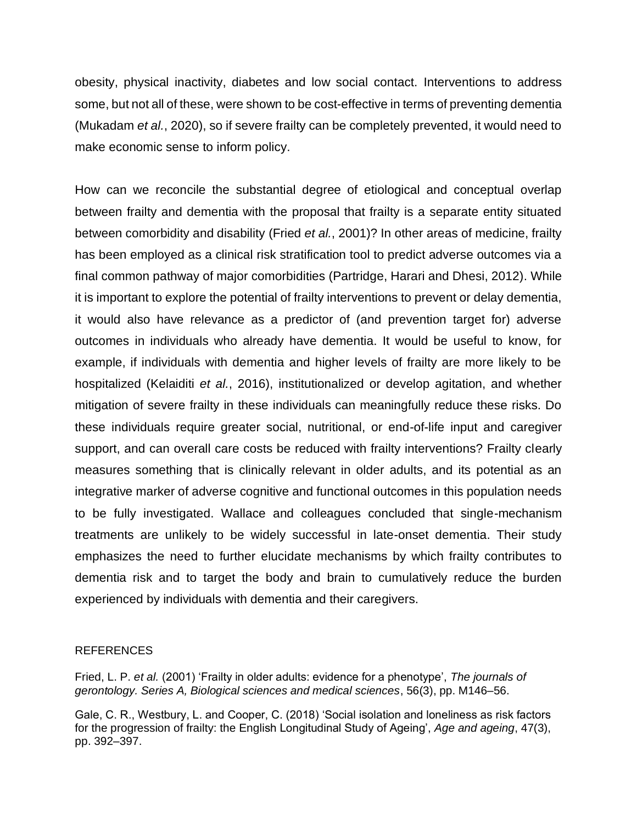obesity, physical inactivity, diabetes and low social contact. Interventions to address some, but not all of these, were shown to be cost-effective in terms of preventing dementia [\(Mukadam](https://paperpile.com/c/P6yCr7/VluR) *[et al.](https://paperpile.com/c/P6yCr7/VluR)*[, 2020\),](https://paperpile.com/c/P6yCr7/VluR) so if severe frailty can be completely prevented, it would need to make economic sense to inform policy.

How can we reconcile the substantial degree of etiological and conceptual overlap between frailty and dementia with the proposal that frailty is a separate entity situated between comorbidity and disability [\(Fried](https://paperpile.com/c/P6yCr7/5hmD) *[et al.](https://paperpile.com/c/P6yCr7/5hmD)*[, 2001\)?](https://paperpile.com/c/P6yCr7/5hmD) In other areas of medicine, frailty has been employed as a clinical risk stratification tool to predict adverse outcomes via a final common pathway of major comorbidities [\(Partridge, Harari and Dhesi, 2012\).](https://paperpile.com/c/P6yCr7/Ghgr) While it is important to explore the potential of frailty interventions to prevent or delay dementia, it would also have relevance as a predictor of (and prevention target for) adverse outcomes in individuals who already have dementia. It would be useful to know, for example, if individuals with dementia and higher levels of frailty are more likely to be hospitalized [\(Kelaiditi](https://paperpile.com/c/P6yCr7/klxZ) *[et al.](https://paperpile.com/c/P6yCr7/klxZ)*[, 2016\),](https://paperpile.com/c/P6yCr7/klxZ) institutionalized or develop agitation, and whether mitigation of severe frailty in these individuals can meaningfully reduce these risks. Do these individuals require greater social, nutritional, or end-of-life input and caregiver support, and can overall care costs be reduced with frailty interventions? Frailty clearly measures something that is clinically relevant in older adults, and its potential as an integrative marker of adverse cognitive and functional outcomes in this population needs to be fully investigated. Wallace and colleagues concluded that single-mechanism treatments are unlikely to be widely successful in late-onset dementia. Their study emphasizes the need to further elucidate mechanisms by which frailty contributes to dementia risk and to target the body and brain to cumulatively reduce the burden experienced by individuals with dementia and their caregivers.

## REFERENCES

[Fried, L. P.](http://paperpile.com/b/P6yCr7/5hmD) *[et al.](http://paperpile.com/b/P6yCr7/5hmD)* [\(2001\) 'Frailty in older adults: evidence for a phenotype',](http://paperpile.com/b/P6yCr7/5hmD) *[The journals of](http://paperpile.com/b/P6yCr7/5hmD)  [gerontology. Series A, Biological sciences and medical sciences](http://paperpile.com/b/P6yCr7/5hmD)*[, 56\(3\), pp. M146–56.](http://paperpile.com/b/P6yCr7/5hmD)

[Gale, C. R., Westbury, L. and Cooper, C. \(2018\) 'Social isolation and loneliness as risk factors](http://paperpile.com/b/P6yCr7/Zwng)  [for the progression of frailty: the English Longitudinal Study of Ageing',](http://paperpile.com/b/P6yCr7/Zwng) *[Age and ageing](http://paperpile.com/b/P6yCr7/Zwng)*[, 47\(3\),](http://paperpile.com/b/P6yCr7/Zwng)  [pp. 392–397.](http://paperpile.com/b/P6yCr7/Zwng)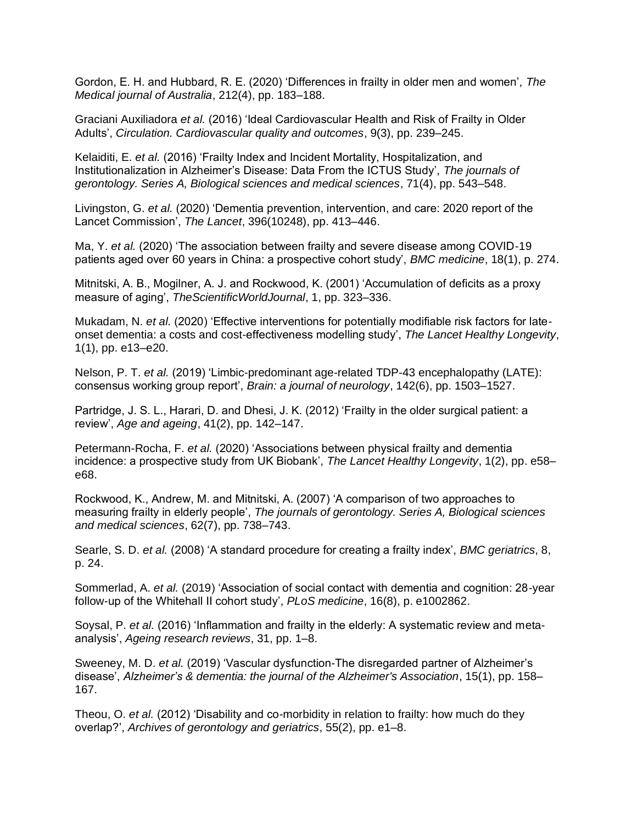[Gordon, E. H. and Hubbard, R. E. \(2020\) 'Differences in frailty in older men and women',](http://paperpile.com/b/P6yCr7/Efvl) *[The](http://paperpile.com/b/P6yCr7/Efvl)  [Medical journal of Australia](http://paperpile.com/b/P6yCr7/Efvl)*[, 212\(4\), pp. 183–188.](http://paperpile.com/b/P6yCr7/Efvl)

[Graciani Auxiliadora](http://paperpile.com/b/P6yCr7/3C7O) *[et al.](http://paperpile.com/b/P6yCr7/3C7O)* [\(2016\) 'Ideal Cardiovascular Health and Risk of Frailty in Older](http://paperpile.com/b/P6yCr7/3C7O)  [Adults',](http://paperpile.com/b/P6yCr7/3C7O) *[Circulation. Cardiovascular quality and outcomes](http://paperpile.com/b/P6yCr7/3C7O)*[, 9\(3\), pp. 239–245.](http://paperpile.com/b/P6yCr7/3C7O)

[Kelaiditi, E.](http://paperpile.com/b/P6yCr7/klxZ) *[et al.](http://paperpile.com/b/P6yCr7/klxZ)* [\(2016\) 'Frailty Index and Incident Mortality, Hospitalization, and](http://paperpile.com/b/P6yCr7/klxZ)  [Institutionalization in Alzheimer's Disease: Data From the ICTUS Study',](http://paperpile.com/b/P6yCr7/klxZ) *[The journals of](http://paperpile.com/b/P6yCr7/klxZ)  [gerontology. Series A, Biological sciences and medical sciences](http://paperpile.com/b/P6yCr7/klxZ)*[, 71\(4\), pp. 543–548.](http://paperpile.com/b/P6yCr7/klxZ)

[Livingston, G.](http://paperpile.com/b/P6yCr7/bPnd) *[et al.](http://paperpile.com/b/P6yCr7/bPnd)* [\(2020\) 'Dementia prevention, intervention, and care: 2020 report of the](http://paperpile.com/b/P6yCr7/bPnd)  [Lancet Commission',](http://paperpile.com/b/P6yCr7/bPnd) *[The Lancet](http://paperpile.com/b/P6yCr7/bPnd)*[, 396\(10248\), pp. 413–446.](http://paperpile.com/b/P6yCr7/bPnd)

[Ma, Y.](http://paperpile.com/b/P6yCr7/zNoY) *[et al.](http://paperpile.com/b/P6yCr7/zNoY)* [\(2020\) 'The association between frailty and severe disease among COVID-19](http://paperpile.com/b/P6yCr7/zNoY)  [patients aged over 60 years in China: a prospective cohort study',](http://paperpile.com/b/P6yCr7/zNoY) *[BMC medicine](http://paperpile.com/b/P6yCr7/zNoY)*[, 18\(1\), p. 274.](http://paperpile.com/b/P6yCr7/zNoY)

[Mitnitski, A. B., Mogilner, A. J. and Rockwood, K. \(2001\) 'Accumulation of deficits as a proxy](http://paperpile.com/b/P6yCr7/5eRI)  [measure of aging',](http://paperpile.com/b/P6yCr7/5eRI) *[TheScientificWorldJournal](http://paperpile.com/b/P6yCr7/5eRI)*[, 1, pp. 323–336.](http://paperpile.com/b/P6yCr7/5eRI)

[Mukadam, N.](http://paperpile.com/b/P6yCr7/VluR) *[et al.](http://paperpile.com/b/P6yCr7/VluR)* [\(2020\) 'Effective interventions for potentially modifiable risk factors for late](http://paperpile.com/b/P6yCr7/VluR)[onset dementia: a costs and cost-effectiveness modelling study',](http://paperpile.com/b/P6yCr7/VluR) *[The Lancet Healthy Longevity](http://paperpile.com/b/P6yCr7/VluR)*[,](http://paperpile.com/b/P6yCr7/VluR)  [1\(1\), pp. e13–e20.](http://paperpile.com/b/P6yCr7/VluR)

[Nelson, P. T.](http://paperpile.com/b/P6yCr7/Yz99) *[et al.](http://paperpile.com/b/P6yCr7/Yz99)* [\(2019\) 'Limbic-predominant age-related TDP-43 encephalopathy \(LATE\):](http://paperpile.com/b/P6yCr7/Yz99)  [consensus working group report',](http://paperpile.com/b/P6yCr7/Yz99) *[Brain: a journal of neurology](http://paperpile.com/b/P6yCr7/Yz99)*[, 142\(6\), pp. 1503–1527.](http://paperpile.com/b/P6yCr7/Yz99)

[Partridge, J. S. L., Harari, D. and Dhesi, J. K. \(2012\) 'Frailty in the older surgical patient: a](http://paperpile.com/b/P6yCr7/Ghgr)  [review',](http://paperpile.com/b/P6yCr7/Ghgr) *[Age and ageing](http://paperpile.com/b/P6yCr7/Ghgr)*[, 41\(2\), pp. 142–147.](http://paperpile.com/b/P6yCr7/Ghgr)

[Petermann-Rocha, F.](http://paperpile.com/b/P6yCr7/Pdhk) *[et al.](http://paperpile.com/b/P6yCr7/Pdhk)* [\(2020\) 'Associations between physical frailty and dementia](http://paperpile.com/b/P6yCr7/Pdhk)  [incidence: a prospective study from UK Biobank',](http://paperpile.com/b/P6yCr7/Pdhk) *[The Lancet Healthy Longevity](http://paperpile.com/b/P6yCr7/Pdhk)*[, 1\(2\), pp. e58–](http://paperpile.com/b/P6yCr7/Pdhk) [e68.](http://paperpile.com/b/P6yCr7/Pdhk)

[Rockwood, K., Andrew, M. and Mitnitski, A. \(2007\) 'A comparison of two approaches to](http://paperpile.com/b/P6yCr7/2PGV)  [measuring frailty in elderly people',](http://paperpile.com/b/P6yCr7/2PGV) *[The journals of gerontology. Series A, Biological sciences](http://paperpile.com/b/P6yCr7/2PGV)  [and medical sciences](http://paperpile.com/b/P6yCr7/2PGV)*[, 62\(7\), pp. 738–743.](http://paperpile.com/b/P6yCr7/2PGV)

[Searle, S. D.](http://paperpile.com/b/P6yCr7/yWuP) *[et al.](http://paperpile.com/b/P6yCr7/yWuP)* [\(2008\) 'A standard procedure for creating a frailty index',](http://paperpile.com/b/P6yCr7/yWuP) *[BMC geriatrics](http://paperpile.com/b/P6yCr7/yWuP)*[, 8,](http://paperpile.com/b/P6yCr7/yWuP)  [p. 24.](http://paperpile.com/b/P6yCr7/yWuP)

[Sommerlad, A.](http://paperpile.com/b/P6yCr7/t2Q9) *[et al.](http://paperpile.com/b/P6yCr7/t2Q9)* [\(2019\) 'Association of social contact with dementia and cognition: 28-year](http://paperpile.com/b/P6yCr7/t2Q9)  [follow-up of the Whitehall II cohort study',](http://paperpile.com/b/P6yCr7/t2Q9) *[PLoS medicine](http://paperpile.com/b/P6yCr7/t2Q9)*[, 16\(8\), p. e1002862.](http://paperpile.com/b/P6yCr7/t2Q9)

[Soysal, P.](http://paperpile.com/b/P6yCr7/1U7F) *[et al.](http://paperpile.com/b/P6yCr7/1U7F)* [\(2016\) 'Inflammation and frailty in the elderly: A systematic review and meta](http://paperpile.com/b/P6yCr7/1U7F)[analysis',](http://paperpile.com/b/P6yCr7/1U7F) *[Ageing research reviews](http://paperpile.com/b/P6yCr7/1U7F)*[, 31, pp. 1–8.](http://paperpile.com/b/P6yCr7/1U7F)

[Sweeney, M. D.](http://paperpile.com/b/P6yCr7/lUFh) *[et al.](http://paperpile.com/b/P6yCr7/lUFh)* [\(2019\) 'Vascular dysfunction-The disregarded partner of Alzheimer's](http://paperpile.com/b/P6yCr7/lUFh)  [disease',](http://paperpile.com/b/P6yCr7/lUFh) *Alzheimer's [& dementia: the journal of the Alzheimer's Association](http://paperpile.com/b/P6yCr7/lUFh)*[, 15\(1\), pp. 158–](http://paperpile.com/b/P6yCr7/lUFh) [167.](http://paperpile.com/b/P6yCr7/lUFh)

[Theou, O.](http://paperpile.com/b/P6yCr7/JzIn) *[et al.](http://paperpile.com/b/P6yCr7/JzIn)* [\(2012\) 'Disability and co-morbidity in relation to frailty: how much do they](http://paperpile.com/b/P6yCr7/JzIn)  [overlap?',](http://paperpile.com/b/P6yCr7/JzIn) *[Archives of gerontology and geriatrics](http://paperpile.com/b/P6yCr7/JzIn)*[, 55\(2\), pp. e1–8.](http://paperpile.com/b/P6yCr7/JzIn)